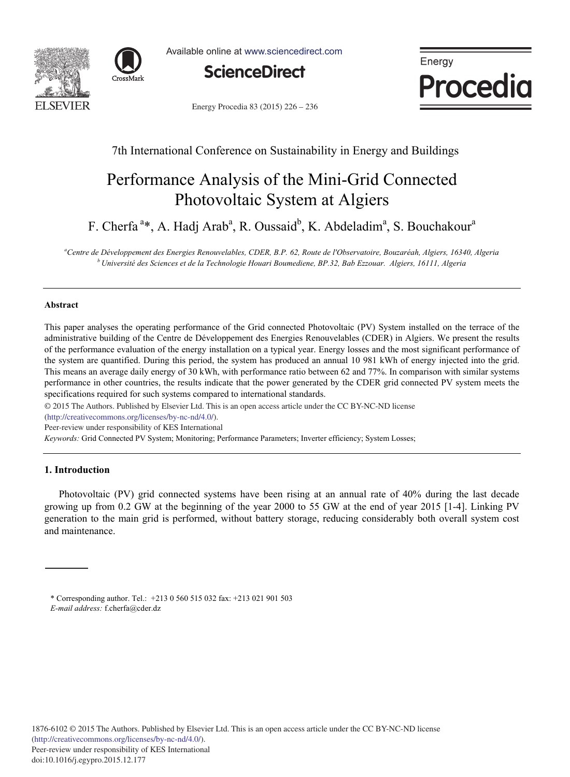



Available online at www.sciencedirect.com



Energy Procedia

Energy Procedia 83 (2015) 226 - 236

### 7th International Conference on Sustainability in Energy and Buildings

# Performance Analysis of the Mini-Grid Connected Photovoltaic System at Algiers

F. Cherfa<sup>a\*</sup>, A. Hadj Arab<sup>a</sup>, R. Oussaid<sup>b</sup>, K. Abdeladim<sup>a</sup>, S. Bouchakour<sup>a</sup>

<sup>a</sup>Centre de Développement des Energies Renouvelables, CDER, B.P. 62, Route de l'Observatoire, Bouzaréah, Algiers, 16340, Algeria  $^b$ Université des Sciences et de la Technologie Houari Boumediene, BP.32, Bab Ezzouar. Algiers, 16111, Algeria

#### **Abstract**

This paper analyses the operating performance of the Grid connected Photovoltaic (PV) System installed on the terrace of the administrative building of the Centre de Développement des Energies Renouvelables (CDER) in Algiers. We present the results of the performance evaluation of the energy installation on a typical year. Energy losses and the most significant performance of the system are quantified. During this period, the system has produced an annual 10 981 kWh of energy injected into the grid. This means an average daily energy of 30 kWh, with performance ratio between 62 and 77%. In comparison with similar systems performance in other countries, the results indicate that the power generated by the CDER grid connected PV system meets the specifications required for such systems compared to international standards.

© 2015 The Authors. Published by Elsevier Ltd. © 2015 The Authors. Published by Elsevier Ltd. This is an open access article under the CC BY-NC-ND license (http://creativecommons.org/licenses/by-nc-nd/4.0/).

Peer-review under responsibility of KES International

*Keywords:* Grid Connected PV System; Monitoring; Performance Parameters; Inverter efficiency; System Losses;

#### **1. Introduction**

Photovoltaic (PV) grid connected systems have been rising at an annual rate of 40% during the last decade growing up from 0.2 GW at the beginning of the year 2000 to 55 GW at the end of year 2015 [1-4]. Linking PV generation to the main grid is performed, without battery storage, reducing considerably both overall system cost and maintenance.

<sup>\*</sup> Corresponding author. Tel.: +213 0 560 515 032 fax: +213 021 901 503 *E-mail address:* f.cherfa@cder.dz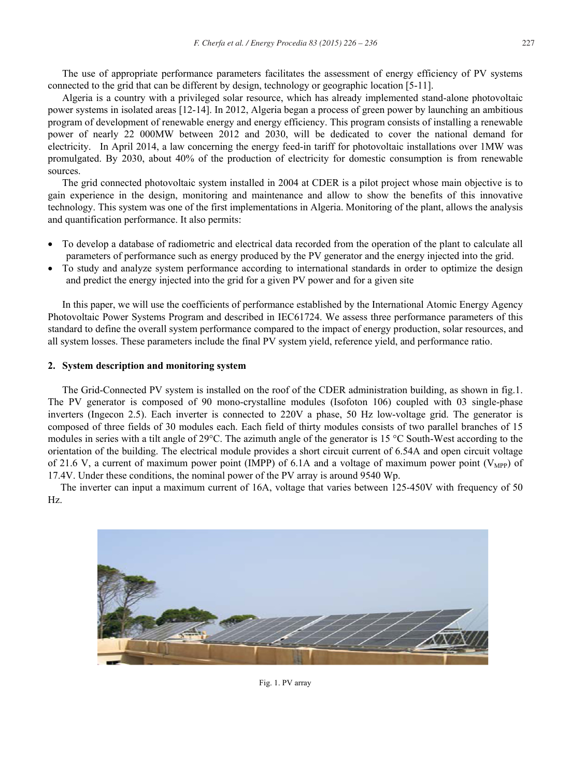The use of appropriate performance parameters facilitates the assessment of energy efficiency of PV systems connected to the grid that can be different by design, technology or geographic location [5-11].

Algeria is a country with a privileged solar resource, which has already implemented stand-alone photovoltaic power systems in isolated areas [12-14]. In 2012, Algeria began a process of green power by launching an ambitious program of development of renewable energy and energy efficiency. This program consists of installing a renewable power of nearly 22 000MW between 2012 and 2030, will be dedicated to cover the national demand for electricity. In April 2014, a law concerning the energy feed-in tariff for photovoltaic installations over 1MW was promulgated. By 2030, about 40% of the production of electricity for domestic consumption is from renewable sources.

 The grid connected photovoltaic system installed in 2004 at CDER is a pilot project whose main objective is to gain experience in the design, monitoring and maintenance and allow to show the benefits of this innovative technology. This system was one of the first implementations in Algeria. Monitoring of the plant, allows the analysis and quantification performance. It also permits:

- x To develop a database of radiometric and electrical data recorded from the operation of the plant to calculate all parameters of performance such as energy produced by the PV generator and the energy injected into the grid.
- To study and analyze system performance according to international standards in order to optimize the design and predict the energy injected into the grid for a given PV power and for a given site

In this paper, we will use the coefficients of performance established by the International Atomic Energy Agency Photovoltaic Power Systems Program and described in IEC61724. We assess three performance parameters of this standard to define the overall system performance compared to the impact of energy production, solar resources, and all system losses. These parameters include the final PV system yield, reference yield, and performance ratio.

#### **2. System description and monitoring system**

The Grid-Connected PV system is installed on the roof of the CDER administration building, as shown in fig.1. The PV generator is composed of 90 mono-crystalline modules (Isofoton 106) coupled with 03 single-phase inverters (Ingecon 2.5). Each inverter is connected to 220V a phase, 50 Hz low-voltage grid. The generator is composed of three fields of 30 modules each. Each field of thirty modules consists of two parallel branches of 15 modules in series with a tilt angle of 29°C. The azimuth angle of the generator is 15 °C South-West according to the orientation of the building. The electrical module provides a short circuit current of 6.54A and open circuit voltage of 21.6 V, a current of maximum power point (IMPP) of 6.1A and a voltage of maximum power point ( $V_{\text{MPP}}$ ) of 17.4V. Under these conditions, the nominal power of the PV array is around 9540 Wp.

 The inverter can input a maximum current of 16A, voltage that varies between 125-450V with frequency of 50 Hz.



Fig. 1. PV array